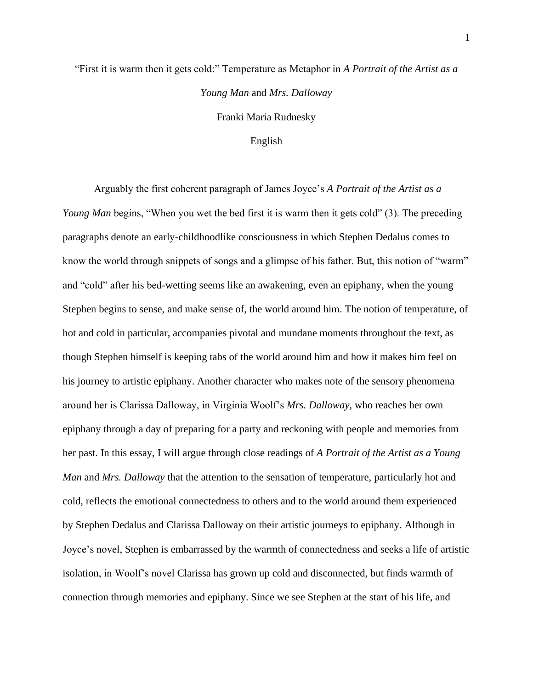## "First it is warm then it gets cold:" Temperature as Metaphor in *A Portrait of the Artist as a Young Man* and *Mrs. Dalloway* Franki Maria Rudnesky

## English

Arguably the first coherent paragraph of James Joyce's *A Portrait of the Artist as a Young Man* begins, "When you wet the bed first it is warm then it gets cold" (3). The preceding paragraphs denote an early-childhoodlike consciousness in which Stephen Dedalus comes to know the world through snippets of songs and a glimpse of his father. But, this notion of "warm" and "cold" after his bed-wetting seems like an awakening, even an epiphany, when the young Stephen begins to sense, and make sense of, the world around him. The notion of temperature, of hot and cold in particular, accompanies pivotal and mundane moments throughout the text, as though Stephen himself is keeping tabs of the world around him and how it makes him feel on his journey to artistic epiphany. Another character who makes note of the sensory phenomena around her is Clarissa Dalloway, in Virginia Woolf's *Mrs. Dalloway*, who reaches her own epiphany through a day of preparing for a party and reckoning with people and memories from her past. In this essay, I will argue through close readings of *A Portrait of the Artist as a Young Man* and *Mrs. Dalloway* that the attention to the sensation of temperature, particularly hot and cold, reflects the emotional connectedness to others and to the world around them experienced by Stephen Dedalus and Clarissa Dalloway on their artistic journeys to epiphany. Although in Joyce's novel, Stephen is embarrassed by the warmth of connectedness and seeks a life of artistic isolation, in Woolf's novel Clarissa has grown up cold and disconnected, but finds warmth of connection through memories and epiphany. Since we see Stephen at the start of his life, and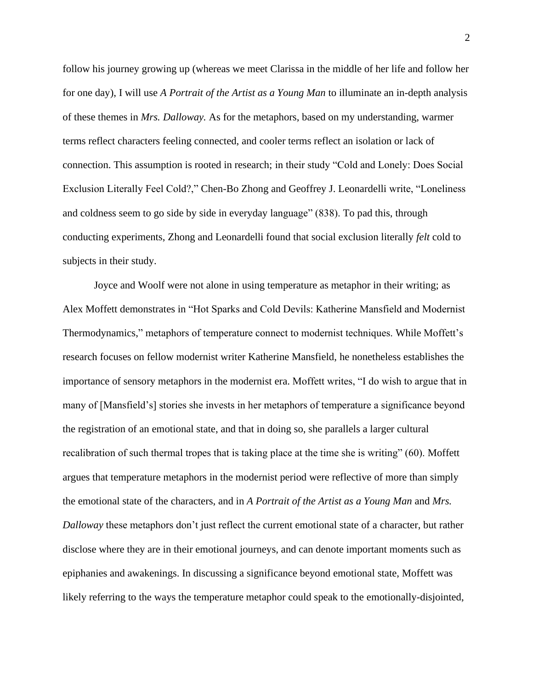follow his journey growing up (whereas we meet Clarissa in the middle of her life and follow her for one day), I will use *A Portrait of the Artist as a Young Man* to illuminate an in-depth analysis of these themes in *Mrs. Dalloway.* As for the metaphors, based on my understanding, warmer terms reflect characters feeling connected, and cooler terms reflect an isolation or lack of connection. This assumption is rooted in research; in their study "Cold and Lonely: Does Social Exclusion Literally Feel Cold?," Chen-Bo Zhong and Geoffrey J. Leonardelli write, "Loneliness and coldness seem to go side by side in everyday language" (838). To pad this, through conducting experiments, Zhong and Leonardelli found that social exclusion literally *felt* cold to subjects in their study.

Joyce and Woolf were not alone in using temperature as metaphor in their writing; as Alex Moffett demonstrates in "Hot Sparks and Cold Devils: Katherine Mansfield and Modernist Thermodynamics," metaphors of temperature connect to modernist techniques. While Moffett's research focuses on fellow modernist writer Katherine Mansfield, he nonetheless establishes the importance of sensory metaphors in the modernist era. Moffett writes, "I do wish to argue that in many of [Mansfield's] stories she invests in her metaphors of temperature a significance beyond the registration of an emotional state, and that in doing so, she parallels a larger cultural recalibration of such thermal tropes that is taking place at the time she is writing" (60). Moffett argues that temperature metaphors in the modernist period were reflective of more than simply the emotional state of the characters, and in *A Portrait of the Artist as a Young Man* and *Mrs. Dalloway* these metaphors don't just reflect the current emotional state of a character, but rather disclose where they are in their emotional journeys, and can denote important moments such as epiphanies and awakenings. In discussing a significance beyond emotional state, Moffett was likely referring to the ways the temperature metaphor could speak to the emotionally-disjointed,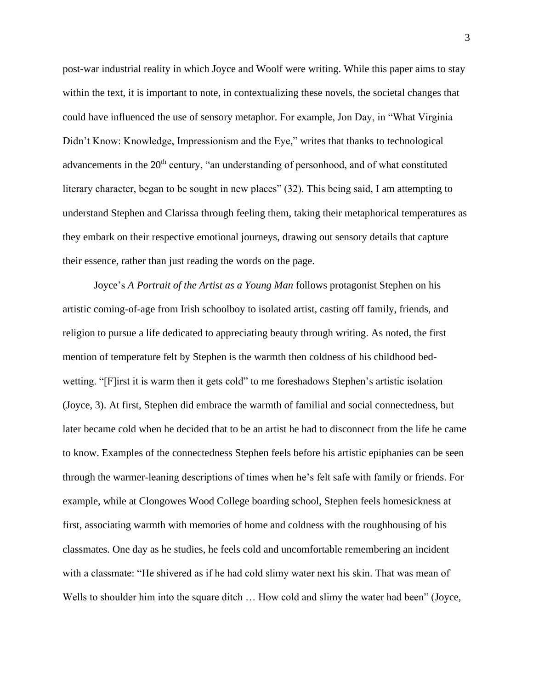post-war industrial reality in which Joyce and Woolf were writing. While this paper aims to stay within the text, it is important to note, in contextualizing these novels, the societal changes that could have influenced the use of sensory metaphor. For example, Jon Day, in "What Virginia Didn't Know: Knowledge, Impressionism and the Eye," writes that thanks to technological advancements in the 20<sup>th</sup> century, "an understanding of personhood, and of what constituted literary character, began to be sought in new places" (32). This being said, I am attempting to understand Stephen and Clarissa through feeling them, taking their metaphorical temperatures as they embark on their respective emotional journeys, drawing out sensory details that capture their essence, rather than just reading the words on the page.

Joyce's *A Portrait of the Artist as a Young Man* follows protagonist Stephen on his artistic coming-of-age from Irish schoolboy to isolated artist, casting off family, friends, and religion to pursue a life dedicated to appreciating beauty through writing. As noted, the first mention of temperature felt by Stephen is the warmth then coldness of his childhood bedwetting. "[F]irst it is warm then it gets cold" to me foreshadows Stephen's artistic isolation (Joyce, 3). At first, Stephen did embrace the warmth of familial and social connectedness, but later became cold when he decided that to be an artist he had to disconnect from the life he came to know. Examples of the connectedness Stephen feels before his artistic epiphanies can be seen through the warmer-leaning descriptions of times when he's felt safe with family or friends. For example, while at Clongowes Wood College boarding school, Stephen feels homesickness at first, associating warmth with memories of home and coldness with the roughhousing of his classmates. One day as he studies, he feels cold and uncomfortable remembering an incident with a classmate: "He shivered as if he had cold slimy water next his skin. That was mean of Wells to shoulder him into the square ditch ... How cold and slimy the water had been" (Joyce,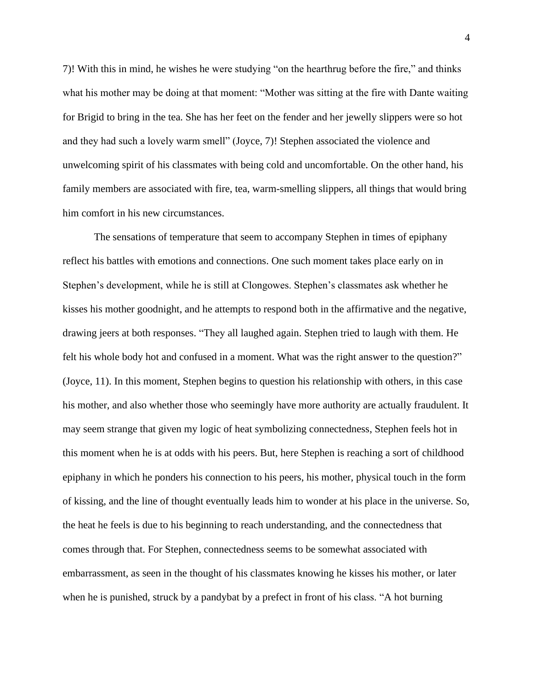7)! With this in mind, he wishes he were studying "on the hearthrug before the fire," and thinks what his mother may be doing at that moment: "Mother was sitting at the fire with Dante waiting for Brigid to bring in the tea. She has her feet on the fender and her jewelly slippers were so hot and they had such a lovely warm smell" (Joyce, 7)! Stephen associated the violence and unwelcoming spirit of his classmates with being cold and uncomfortable. On the other hand, his family members are associated with fire, tea, warm-smelling slippers, all things that would bring him comfort in his new circumstances.

The sensations of temperature that seem to accompany Stephen in times of epiphany reflect his battles with emotions and connections. One such moment takes place early on in Stephen's development, while he is still at Clongowes. Stephen's classmates ask whether he kisses his mother goodnight, and he attempts to respond both in the affirmative and the negative, drawing jeers at both responses. "They all laughed again. Stephen tried to laugh with them. He felt his whole body hot and confused in a moment. What was the right answer to the question?" (Joyce, 11). In this moment, Stephen begins to question his relationship with others, in this case his mother, and also whether those who seemingly have more authority are actually fraudulent. It may seem strange that given my logic of heat symbolizing connectedness, Stephen feels hot in this moment when he is at odds with his peers. But, here Stephen is reaching a sort of childhood epiphany in which he ponders his connection to his peers, his mother, physical touch in the form of kissing, and the line of thought eventually leads him to wonder at his place in the universe. So, the heat he feels is due to his beginning to reach understanding, and the connectedness that comes through that. For Stephen, connectedness seems to be somewhat associated with embarrassment, as seen in the thought of his classmates knowing he kisses his mother, or later when he is punished, struck by a pandybat by a prefect in front of his class. "A hot burning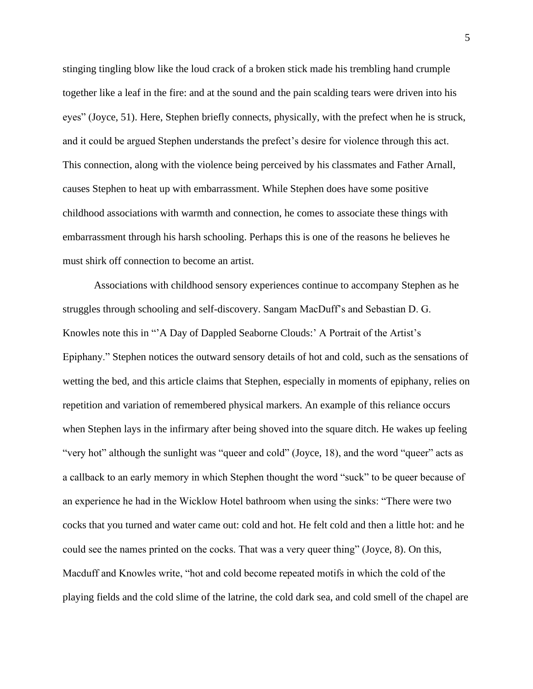stinging tingling blow like the loud crack of a broken stick made his trembling hand crumple together like a leaf in the fire: and at the sound and the pain scalding tears were driven into his eyes" (Joyce, 51). Here, Stephen briefly connects, physically, with the prefect when he is struck, and it could be argued Stephen understands the prefect's desire for violence through this act. This connection, along with the violence being perceived by his classmates and Father Arnall, causes Stephen to heat up with embarrassment. While Stephen does have some positive childhood associations with warmth and connection, he comes to associate these things with embarrassment through his harsh schooling. Perhaps this is one of the reasons he believes he must shirk off connection to become an artist.

Associations with childhood sensory experiences continue to accompany Stephen as he struggles through schooling and self-discovery. Sangam MacDuff's and Sebastian D. G. Knowles note this in "'A Day of Dappled Seaborne Clouds:' A Portrait of the Artist's Epiphany." Stephen notices the outward sensory details of hot and cold, such as the sensations of wetting the bed, and this article claims that Stephen, especially in moments of epiphany, relies on repetition and variation of remembered physical markers. An example of this reliance occurs when Stephen lays in the infirmary after being shoved into the square ditch. He wakes up feeling "very hot" although the sunlight was "queer and cold" (Joyce, 18), and the word "queer" acts as a callback to an early memory in which Stephen thought the word "suck" to be queer because of an experience he had in the Wicklow Hotel bathroom when using the sinks: "There were two cocks that you turned and water came out: cold and hot. He felt cold and then a little hot: and he could see the names printed on the cocks. That was a very queer thing" (Joyce, 8). On this, Macduff and Knowles write, "hot and cold become repeated motifs in which the cold of the playing fields and the cold slime of the latrine, the cold dark sea, and cold smell of the chapel are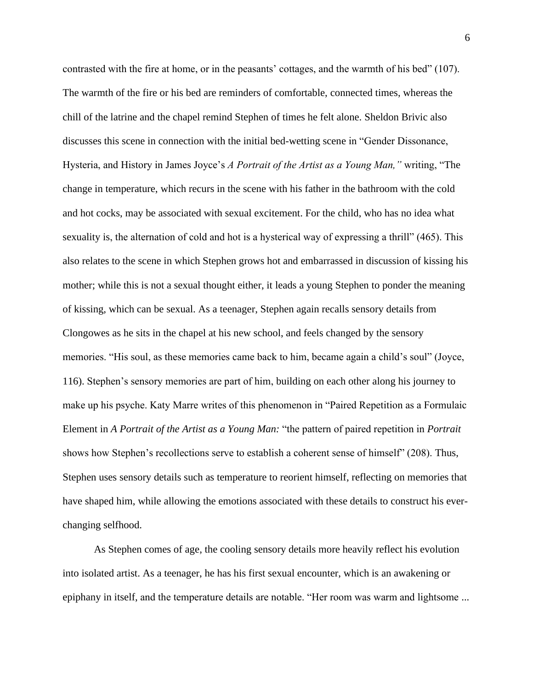contrasted with the fire at home, or in the peasants' cottages, and the warmth of his bed" (107). The warmth of the fire or his bed are reminders of comfortable, connected times, whereas the chill of the latrine and the chapel remind Stephen of times he felt alone. Sheldon Brivic also discusses this scene in connection with the initial bed-wetting scene in "Gender Dissonance, Hysteria, and History in James Joyce's *A Portrait of the Artist as a Young Man,"* writing, "The change in temperature, which recurs in the scene with his father in the bathroom with the cold and hot cocks, may be associated with sexual excitement. For the child, who has no idea what sexuality is, the alternation of cold and hot is a hysterical way of expressing a thrill" (465). This also relates to the scene in which Stephen grows hot and embarrassed in discussion of kissing his mother; while this is not a sexual thought either, it leads a young Stephen to ponder the meaning of kissing, which can be sexual. As a teenager, Stephen again recalls sensory details from Clongowes as he sits in the chapel at his new school, and feels changed by the sensory memories. "His soul, as these memories came back to him, became again a child's soul" (Joyce, 116). Stephen's sensory memories are part of him, building on each other along his journey to make up his psyche. Katy Marre writes of this phenomenon in "Paired Repetition as a Formulaic Element in *A Portrait of the Artist as a Young Man:* "the pattern of paired repetition in *Portrait*  shows how Stephen's recollections serve to establish a coherent sense of himself" (208). Thus, Stephen uses sensory details such as temperature to reorient himself, reflecting on memories that have shaped him, while allowing the emotions associated with these details to construct his everchanging selfhood.

As Stephen comes of age, the cooling sensory details more heavily reflect his evolution into isolated artist. As a teenager, he has his first sexual encounter, which is an awakening or epiphany in itself, and the temperature details are notable. "Her room was warm and lightsome ...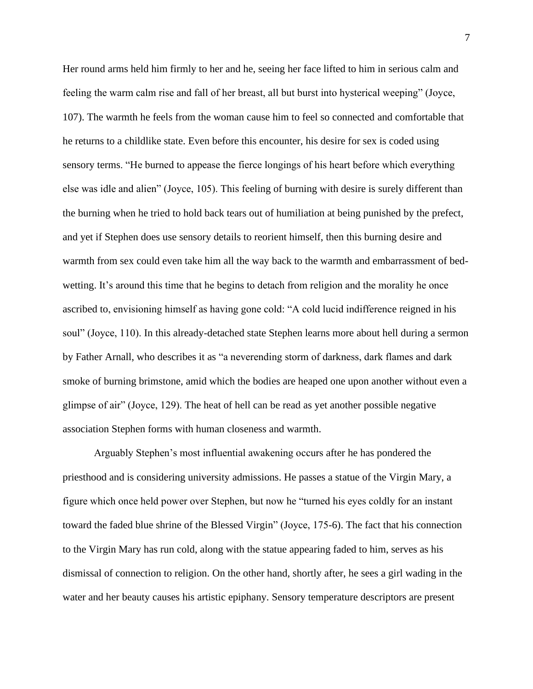Her round arms held him firmly to her and he, seeing her face lifted to him in serious calm and feeling the warm calm rise and fall of her breast, all but burst into hysterical weeping" (Joyce, 107). The warmth he feels from the woman cause him to feel so connected and comfortable that he returns to a childlike state. Even before this encounter, his desire for sex is coded using sensory terms. "He burned to appease the fierce longings of his heart before which everything else was idle and alien" (Joyce, 105). This feeling of burning with desire is surely different than the burning when he tried to hold back tears out of humiliation at being punished by the prefect, and yet if Stephen does use sensory details to reorient himself, then this burning desire and warmth from sex could even take him all the way back to the warmth and embarrassment of bedwetting. It's around this time that he begins to detach from religion and the morality he once ascribed to, envisioning himself as having gone cold: "A cold lucid indifference reigned in his soul" (Joyce, 110). In this already-detached state Stephen learns more about hell during a sermon by Father Arnall, who describes it as "a neverending storm of darkness, dark flames and dark smoke of burning brimstone, amid which the bodies are heaped one upon another without even a glimpse of air" (Joyce, 129). The heat of hell can be read as yet another possible negative association Stephen forms with human closeness and warmth.

Arguably Stephen's most influential awakening occurs after he has pondered the priesthood and is considering university admissions. He passes a statue of the Virgin Mary, a figure which once held power over Stephen, but now he "turned his eyes coldly for an instant toward the faded blue shrine of the Blessed Virgin" (Joyce, 175-6). The fact that his connection to the Virgin Mary has run cold, along with the statue appearing faded to him, serves as his dismissal of connection to religion. On the other hand, shortly after, he sees a girl wading in the water and her beauty causes his artistic epiphany. Sensory temperature descriptors are present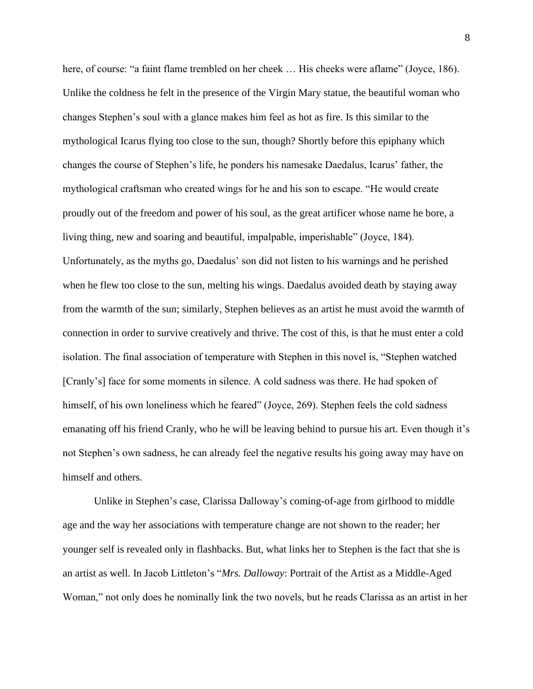here, of course: "a faint flame trembled on her cheek ... His cheeks were aflame" (Joyce, 186). Unlike the coldness he felt in the presence of the Virgin Mary statue, the beautiful woman who changes Stephen's soul with a glance makes him feel as hot as fire. Is this similar to the mythological Icarus flying too close to the sun, though? Shortly before this epiphany which changes the course of Stephen's life, he ponders his namesake Daedalus, Icarus' father, the mythological craftsman who created wings for he and his son to escape. "He would create proudly out of the freedom and power of his soul, as the great artificer whose name he bore, a living thing, new and soaring and beautiful, impalpable, imperishable" (Joyce, 184). Unfortunately, as the myths go, Daedalus' son did not listen to his warnings and he perished when he flew too close to the sun, melting his wings. Daedalus avoided death by staying away from the warmth of the sun; similarly, Stephen believes as an artist he must avoid the warmth of connection in order to survive creatively and thrive. The cost of this, is that he must enter a cold isolation. The final association of temperature with Stephen in this novel is, "Stephen watched [Cranly's] face for some moments in silence. A cold sadness was there. He had spoken of himself, of his own loneliness which he feared" (Joyce, 269). Stephen feels the cold sadness emanating off his friend Cranly, who he will be leaving behind to pursue his art. Even though it's not Stephen's own sadness, he can already feel the negative results his going away may have on himself and others.

Unlike in Stephen's case, Clarissa Dalloway's coming-of-age from girlhood to middle age and the way her associations with temperature change are not shown to the reader; her younger self is revealed only in flashbacks. But, what links her to Stephen is the fact that she is an artist as well. In Jacob Littleton's "*Mrs. Dalloway*: Portrait of the Artist as a Middle-Aged Woman," not only does he nominally link the two novels, but he reads Clarissa as an artist in her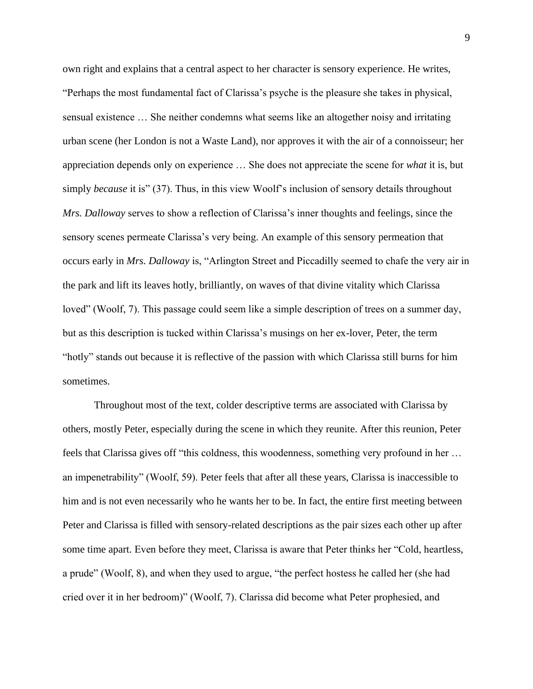own right and explains that a central aspect to her character is sensory experience. He writes, "Perhaps the most fundamental fact of Clarissa's psyche is the pleasure she takes in physical, sensual existence … She neither condemns what seems like an altogether noisy and irritating urban scene (her London is not a Waste Land), nor approves it with the air of a connoisseur; her appreciation depends only on experience … She does not appreciate the scene for *what* it is, but simply *because* it is" (37). Thus, in this view Woolf's inclusion of sensory details throughout *Mrs. Dalloway* serves to show a reflection of Clarissa's inner thoughts and feelings, since the sensory scenes permeate Clarissa's very being. An example of this sensory permeation that occurs early in *Mrs. Dalloway* is, "Arlington Street and Piccadilly seemed to chafe the very air in the park and lift its leaves hotly, brilliantly, on waves of that divine vitality which Clarissa loved" (Woolf, 7). This passage could seem like a simple description of trees on a summer day, but as this description is tucked within Clarissa's musings on her ex-lover, Peter, the term "hotly" stands out because it is reflective of the passion with which Clarissa still burns for him sometimes.

Throughout most of the text, colder descriptive terms are associated with Clarissa by others, mostly Peter, especially during the scene in which they reunite. After this reunion, Peter feels that Clarissa gives off "this coldness, this woodenness, something very profound in her … an impenetrability" (Woolf, 59). Peter feels that after all these years, Clarissa is inaccessible to him and is not even necessarily who he wants her to be. In fact, the entire first meeting between Peter and Clarissa is filled with sensory-related descriptions as the pair sizes each other up after some time apart. Even before they meet, Clarissa is aware that Peter thinks her "Cold, heartless, a prude" (Woolf, 8), and when they used to argue, "the perfect hostess he called her (she had cried over it in her bedroom)" (Woolf, 7). Clarissa did become what Peter prophesied, and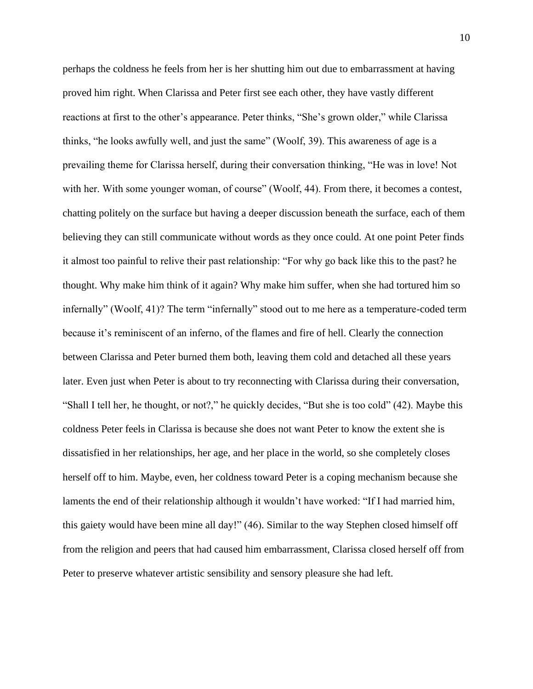perhaps the coldness he feels from her is her shutting him out due to embarrassment at having proved him right. When Clarissa and Peter first see each other, they have vastly different reactions at first to the other's appearance. Peter thinks, "She's grown older," while Clarissa thinks, "he looks awfully well, and just the same" (Woolf, 39). This awareness of age is a prevailing theme for Clarissa herself, during their conversation thinking, "He was in love! Not with her. With some younger woman, of course" (Woolf, 44). From there, it becomes a contest, chatting politely on the surface but having a deeper discussion beneath the surface, each of them believing they can still communicate without words as they once could. At one point Peter finds it almost too painful to relive their past relationship: "For why go back like this to the past? he thought. Why make him think of it again? Why make him suffer, when she had tortured him so infernally" (Woolf, 41)? The term "infernally" stood out to me here as a temperature-coded term because it's reminiscent of an inferno, of the flames and fire of hell. Clearly the connection between Clarissa and Peter burned them both, leaving them cold and detached all these years later. Even just when Peter is about to try reconnecting with Clarissa during their conversation, "Shall I tell her, he thought, or not?," he quickly decides, "But she is too cold" (42). Maybe this coldness Peter feels in Clarissa is because she does not want Peter to know the extent she is dissatisfied in her relationships, her age, and her place in the world, so she completely closes herself off to him. Maybe, even, her coldness toward Peter is a coping mechanism because she laments the end of their relationship although it wouldn't have worked: "If I had married him, this gaiety would have been mine all day!" (46). Similar to the way Stephen closed himself off from the religion and peers that had caused him embarrassment, Clarissa closed herself off from Peter to preserve whatever artistic sensibility and sensory pleasure she had left.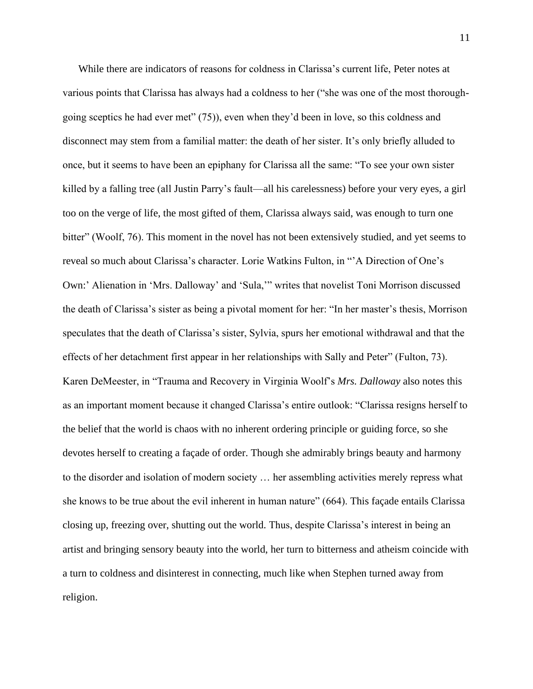While there are indicators of reasons for coldness in Clarissa's current life, Peter notes at various points that Clarissa has always had a coldness to her ("she was one of the most thoroughgoing sceptics he had ever met" (75)), even when they'd been in love, so this coldness and disconnect may stem from a familial matter: the death of her sister. It's only briefly alluded to once, but it seems to have been an epiphany for Clarissa all the same: "To see your own sister killed by a falling tree (all Justin Parry's fault—all his carelessness) before your very eyes, a girl too on the verge of life, the most gifted of them, Clarissa always said, was enough to turn one bitter" (Woolf, 76). This moment in the novel has not been extensively studied, and yet seems to reveal so much about Clarissa's character. Lorie Watkins Fulton, in "'A Direction of One's Own:' Alienation in 'Mrs. Dalloway' and 'Sula,'" writes that novelist Toni Morrison discussed the death of Clarissa's sister as being a pivotal moment for her: "In her master's thesis, Morrison speculates that the death of Clarissa's sister, Sylvia, spurs her emotional withdrawal and that the effects of her detachment first appear in her relationships with Sally and Peter" (Fulton, 73). Karen DeMeester, in "Trauma and Recovery in Virginia Woolf's *Mrs. Dalloway* also notes this as an important moment because it changed Clarissa's entire outlook: "Clarissa resigns herself to the belief that the world is chaos with no inherent ordering principle or guiding force, so she devotes herself to creating a façade of order. Though she admirably brings beauty and harmony to the disorder and isolation of modern society … her assembling activities merely repress what she knows to be true about the evil inherent in human nature" (664). This façade entails Clarissa closing up, freezing over, shutting out the world. Thus, despite Clarissa's interest in being an artist and bringing sensory beauty into the world, her turn to bitterness and atheism coincide with a turn to coldness and disinterest in connecting, much like when Stephen turned away from religion.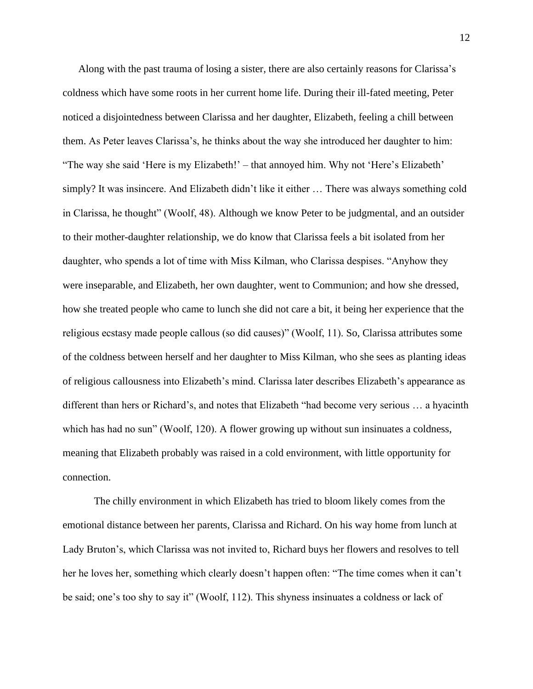Along with the past trauma of losing a sister, there are also certainly reasons for Clarissa's coldness which have some roots in her current home life. During their ill-fated meeting, Peter noticed a disjointedness between Clarissa and her daughter, Elizabeth, feeling a chill between them. As Peter leaves Clarissa's, he thinks about the way she introduced her daughter to him: "The way she said 'Here is my Elizabeth!' – that annoyed him. Why not 'Here's Elizabeth' simply? It was insincere. And Elizabeth didn't like it either … There was always something cold in Clarissa, he thought" (Woolf, 48). Although we know Peter to be judgmental, and an outsider to their mother-daughter relationship, we do know that Clarissa feels a bit isolated from her daughter, who spends a lot of time with Miss Kilman, who Clarissa despises. "Anyhow they were inseparable, and Elizabeth, her own daughter, went to Communion; and how she dressed, how she treated people who came to lunch she did not care a bit, it being her experience that the religious ecstasy made people callous (so did causes)" (Woolf, 11). So, Clarissa attributes some of the coldness between herself and her daughter to Miss Kilman, who she sees as planting ideas of religious callousness into Elizabeth's mind. Clarissa later describes Elizabeth's appearance as different than hers or Richard's, and notes that Elizabeth "had become very serious … a hyacinth which has had no sun" (Woolf, 120). A flower growing up without sun insinuates a coldness, meaning that Elizabeth probably was raised in a cold environment, with little opportunity for connection.

The chilly environment in which Elizabeth has tried to bloom likely comes from the emotional distance between her parents, Clarissa and Richard. On his way home from lunch at Lady Bruton's, which Clarissa was not invited to, Richard buys her flowers and resolves to tell her he loves her, something which clearly doesn't happen often: "The time comes when it can't be said; one's too shy to say it" (Woolf, 112). This shyness insinuates a coldness or lack of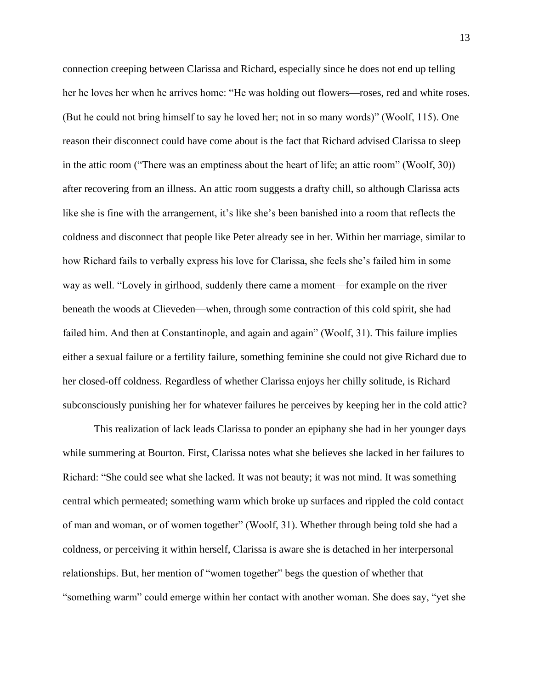connection creeping between Clarissa and Richard, especially since he does not end up telling her he loves her when he arrives home: "He was holding out flowers—roses, red and white roses. (But he could not bring himself to say he loved her; not in so many words)" (Woolf, 115). One reason their disconnect could have come about is the fact that Richard advised Clarissa to sleep in the attic room ("There was an emptiness about the heart of life; an attic room" (Woolf, 30)) after recovering from an illness. An attic room suggests a drafty chill, so although Clarissa acts like she is fine with the arrangement, it's like she's been banished into a room that reflects the coldness and disconnect that people like Peter already see in her. Within her marriage, similar to how Richard fails to verbally express his love for Clarissa, she feels she's failed him in some way as well. "Lovely in girlhood, suddenly there came a moment—for example on the river beneath the woods at Clieveden—when, through some contraction of this cold spirit, she had failed him. And then at Constantinople, and again and again" (Woolf, 31). This failure implies either a sexual failure or a fertility failure, something feminine she could not give Richard due to her closed-off coldness. Regardless of whether Clarissa enjoys her chilly solitude, is Richard subconsciously punishing her for whatever failures he perceives by keeping her in the cold attic?

This realization of lack leads Clarissa to ponder an epiphany she had in her younger days while summering at Bourton. First, Clarissa notes what she believes she lacked in her failures to Richard: "She could see what she lacked. It was not beauty; it was not mind. It was something central which permeated; something warm which broke up surfaces and rippled the cold contact of man and woman, or of women together" (Woolf, 31). Whether through being told she had a coldness, or perceiving it within herself, Clarissa is aware she is detached in her interpersonal relationships. But, her mention of "women together" begs the question of whether that "something warm" could emerge within her contact with another woman. She does say, "yet she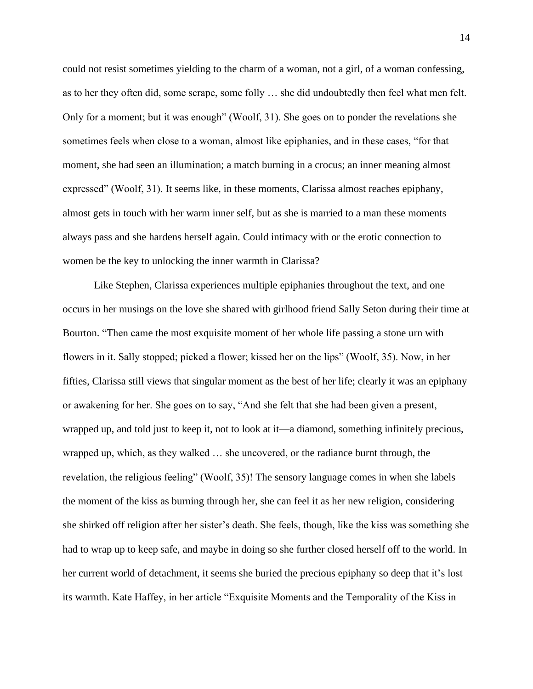could not resist sometimes yielding to the charm of a woman, not a girl, of a woman confessing, as to her they often did, some scrape, some folly … she did undoubtedly then feel what men felt. Only for a moment; but it was enough" (Woolf, 31). She goes on to ponder the revelations she sometimes feels when close to a woman, almost like epiphanies, and in these cases, "for that moment, she had seen an illumination; a match burning in a crocus; an inner meaning almost expressed" (Woolf, 31). It seems like, in these moments, Clarissa almost reaches epiphany, almost gets in touch with her warm inner self, but as she is married to a man these moments always pass and she hardens herself again. Could intimacy with or the erotic connection to women be the key to unlocking the inner warmth in Clarissa?

Like Stephen, Clarissa experiences multiple epiphanies throughout the text, and one occurs in her musings on the love she shared with girlhood friend Sally Seton during their time at Bourton. "Then came the most exquisite moment of her whole life passing a stone urn with flowers in it. Sally stopped; picked a flower; kissed her on the lips" (Woolf, 35). Now, in her fifties, Clarissa still views that singular moment as the best of her life; clearly it was an epiphany or awakening for her. She goes on to say, "And she felt that she had been given a present, wrapped up, and told just to keep it, not to look at it—a diamond, something infinitely precious, wrapped up, which, as they walked … she uncovered, or the radiance burnt through, the revelation, the religious feeling" (Woolf, 35)! The sensory language comes in when she labels the moment of the kiss as burning through her, she can feel it as her new religion, considering she shirked off religion after her sister's death. She feels, though, like the kiss was something she had to wrap up to keep safe, and maybe in doing so she further closed herself off to the world. In her current world of detachment, it seems she buried the precious epiphany so deep that it's lost its warmth. Kate Haffey, in her article "Exquisite Moments and the Temporality of the Kiss in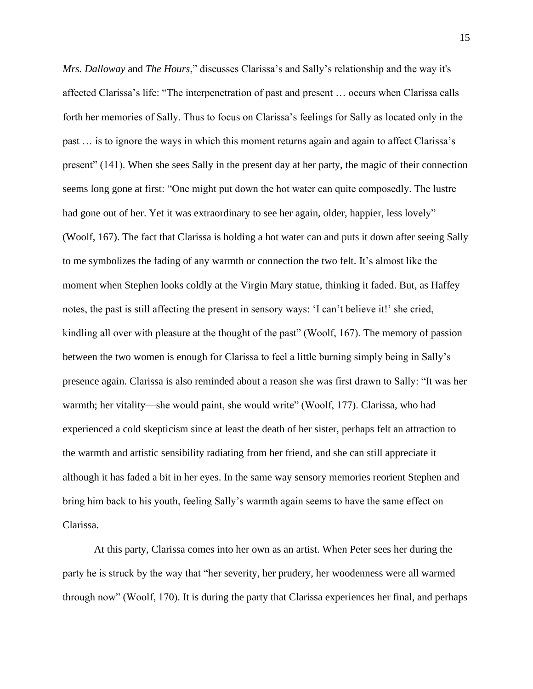*Mrs. Dalloway* and *The Hours*," discusses Clarissa's and Sally's relationship and the way it's affected Clarissa's life: "The interpenetration of past and present … occurs when Clarissa calls forth her memories of Sally. Thus to focus on Clarissa's feelings for Sally as located only in the past … is to ignore the ways in which this moment returns again and again to affect Clarissa's present" (141). When she sees Sally in the present day at her party, the magic of their connection seems long gone at first: "One might put down the hot water can quite composedly. The lustre had gone out of her. Yet it was extraordinary to see her again, older, happier, less lovely" (Woolf, 167). The fact that Clarissa is holding a hot water can and puts it down after seeing Sally to me symbolizes the fading of any warmth or connection the two felt. It's almost like the moment when Stephen looks coldly at the Virgin Mary statue, thinking it faded. But, as Haffey notes, the past is still affecting the present in sensory ways: 'I can't believe it!' she cried, kindling all over with pleasure at the thought of the past" (Woolf, 167). The memory of passion between the two women is enough for Clarissa to feel a little burning simply being in Sally's presence again. Clarissa is also reminded about a reason she was first drawn to Sally: "It was her warmth; her vitality—she would paint, she would write" (Woolf, 177). Clarissa, who had experienced a cold skepticism since at least the death of her sister, perhaps felt an attraction to the warmth and artistic sensibility radiating from her friend, and she can still appreciate it although it has faded a bit in her eyes. In the same way sensory memories reorient Stephen and bring him back to his youth, feeling Sally's warmth again seems to have the same effect on Clarissa.

At this party, Clarissa comes into her own as an artist. When Peter sees her during the party he is struck by the way that "her severity, her prudery, her woodenness were all warmed through now" (Woolf, 170). It is during the party that Clarissa experiences her final, and perhaps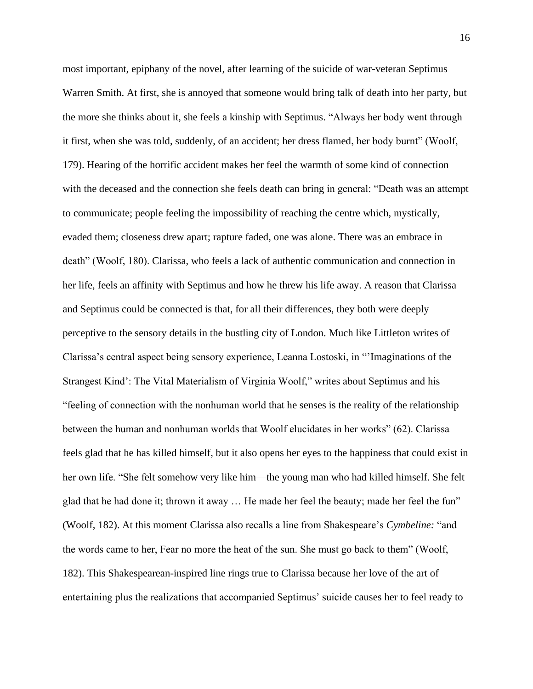most important, epiphany of the novel, after learning of the suicide of war-veteran Septimus Warren Smith. At first, she is annoyed that someone would bring talk of death into her party, but the more she thinks about it, she feels a kinship with Septimus. "Always her body went through it first, when she was told, suddenly, of an accident; her dress flamed, her body burnt" (Woolf, 179). Hearing of the horrific accident makes her feel the warmth of some kind of connection with the deceased and the connection she feels death can bring in general: "Death was an attempt to communicate; people feeling the impossibility of reaching the centre which, mystically, evaded them; closeness drew apart; rapture faded, one was alone. There was an embrace in death" (Woolf, 180). Clarissa, who feels a lack of authentic communication and connection in her life, feels an affinity with Septimus and how he threw his life away. A reason that Clarissa and Septimus could be connected is that, for all their differences, they both were deeply perceptive to the sensory details in the bustling city of London. Much like Littleton writes of Clarissa's central aspect being sensory experience, Leanna Lostoski, in "'Imaginations of the Strangest Kind': The Vital Materialism of Virginia Woolf," writes about Septimus and his "feeling of connection with the nonhuman world that he senses is the reality of the relationship between the human and nonhuman worlds that Woolf elucidates in her works" (62). Clarissa feels glad that he has killed himself, but it also opens her eyes to the happiness that could exist in her own life. "She felt somehow very like him—the young man who had killed himself. She felt glad that he had done it; thrown it away … He made her feel the beauty; made her feel the fun" (Woolf, 182). At this moment Clarissa also recalls a line from Shakespeare's *Cymbeline:* "and the words came to her, Fear no more the heat of the sun. She must go back to them" (Woolf, 182). This Shakespearean-inspired line rings true to Clarissa because her love of the art of entertaining plus the realizations that accompanied Septimus' suicide causes her to feel ready to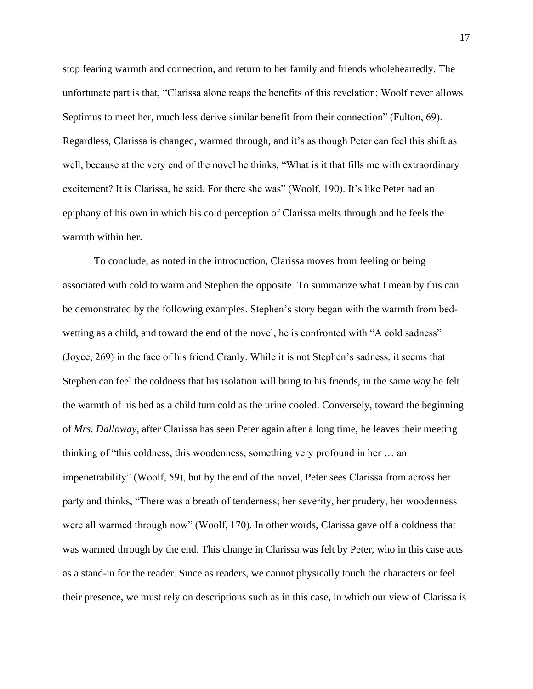stop fearing warmth and connection, and return to her family and friends wholeheartedly. The unfortunate part is that, "Clarissa alone reaps the benefits of this revelation; Woolf never allows Septimus to meet her, much less derive similar benefit from their connection" (Fulton, 69). Regardless, Clarissa is changed, warmed through, and it's as though Peter can feel this shift as well, because at the very end of the novel he thinks, "What is it that fills me with extraordinary excitement? It is Clarissa, he said. For there she was" (Woolf, 190). It's like Peter had an epiphany of his own in which his cold perception of Clarissa melts through and he feels the warmth within her.

To conclude, as noted in the introduction, Clarissa moves from feeling or being associated with cold to warm and Stephen the opposite. To summarize what I mean by this can be demonstrated by the following examples. Stephen's story began with the warmth from bedwetting as a child, and toward the end of the novel, he is confronted with "A cold sadness" (Joyce, 269) in the face of his friend Cranly. While it is not Stephen's sadness, it seems that Stephen can feel the coldness that his isolation will bring to his friends, in the same way he felt the warmth of his bed as a child turn cold as the urine cooled. Conversely, toward the beginning of *Mrs. Dalloway,* after Clarissa has seen Peter again after a long time, he leaves their meeting thinking of "this coldness, this woodenness, something very profound in her … an impenetrability" (Woolf, 59), but by the end of the novel, Peter sees Clarissa from across her party and thinks, "There was a breath of tenderness; her severity, her prudery, her woodenness were all warmed through now" (Woolf, 170). In other words, Clarissa gave off a coldness that was warmed through by the end. This change in Clarissa was felt by Peter, who in this case acts as a stand-in for the reader. Since as readers, we cannot physically touch the characters or feel their presence, we must rely on descriptions such as in this case, in which our view of Clarissa is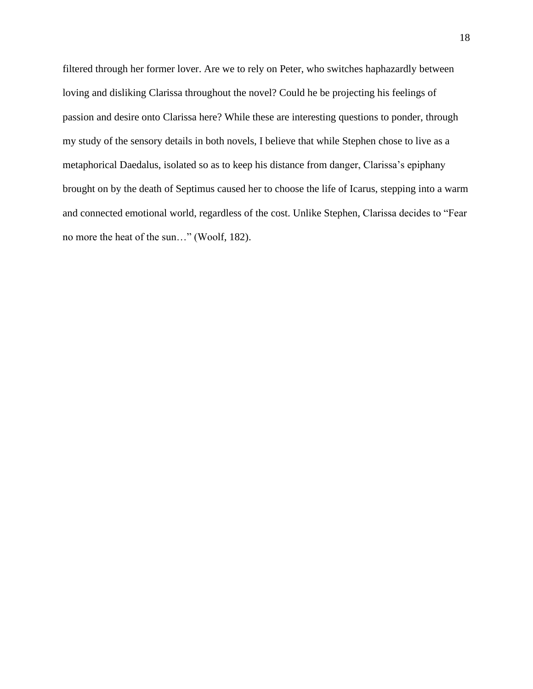filtered through her former lover. Are we to rely on Peter, who switches haphazardly between loving and disliking Clarissa throughout the novel? Could he be projecting his feelings of passion and desire onto Clarissa here? While these are interesting questions to ponder, through my study of the sensory details in both novels, I believe that while Stephen chose to live as a metaphorical Daedalus, isolated so as to keep his distance from danger, Clarissa's epiphany brought on by the death of Septimus caused her to choose the life of Icarus, stepping into a warm and connected emotional world, regardless of the cost. Unlike Stephen, Clarissa decides to "Fear no more the heat of the sun…" (Woolf, 182).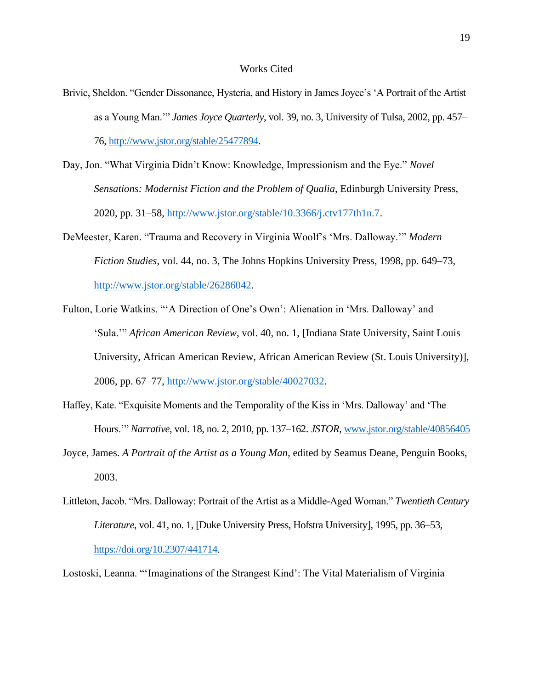## Works Cited

- Brivic, Sheldon. "Gender Dissonance, Hysteria, and History in James Joyce's 'A Portrait of the Artist as a Young Man.'" *James Joyce Quarterly*, vol. 39, no. 3, University of Tulsa, 2002, pp. 457– 76, [http://www.jstor.org/stable/25477894.](http://www.jstor.org/stable/25477894)
- Day, Jon. "What Virginia Didn't Know: Knowledge, Impressionism and the Eye." *Novel Sensations: Modernist Fiction and the Problem of Qualia*, Edinburgh University Press, 2020, pp. 31–58, [http://www.jstor.org/stable/10.3366/j.ctv177th1n.7.](http://www.jstor.org/stable/10.3366/j.ctv177th1n.7)
- DeMeester, Karen. "Trauma and Recovery in Virginia Woolf's 'Mrs. Dalloway.'" *Modern Fiction Studies*, vol. 44, no. 3, The Johns Hopkins University Press, 1998, pp. 649–73, [http://www.jstor.org/stable/26286042.](http://www.jstor.org/stable/26286042)
- Fulton, Lorie Watkins. "'A Direction of One's Own': Alienation in 'Mrs. Dalloway' and 'Sula.'" *African American Review*, vol. 40, no. 1, [Indiana State University, Saint Louis University, African American Review, African American Review (St. Louis University)], 2006, pp. 67–77, [http://www.jstor.org/stable/40027032.](http://www.jstor.org/stable/40027032)
- Haffey, Kate. "Exquisite Moments and the Temporality of the Kiss in 'Mrs. Dalloway' and 'The Hours.'" *Narrative*, vol. 18, no. 2, 2010, pp. 137–162. *JSTOR*, [www.jstor.org/stable/40856405](http://www.jstor.org/stable/40856405)
- Joyce, James. *A Portrait of the Artist as a Young Man,* edited by Seamus Deane, Penguin Books, 2003.
- Littleton, Jacob. "Mrs. Dalloway: Portrait of the Artist as a Middle-Aged Woman." *Twentieth Century Literature*, vol. 41, no. 1, [Duke University Press, Hofstra University], 1995, pp. 36–53, [https://doi.org/10.2307/441714.](https://doi.org/10.2307/441714)

Lostoski, Leanna. "'Imaginations of the Strangest Kind': The Vital Materialism of Virginia